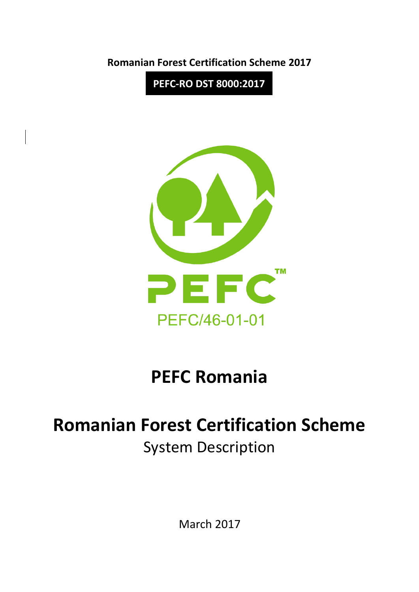**Romanian Forest Certification Scheme 2017**

**PEFC-RO DST 8000:2017**



# **PEFC Romania**

# **Romanian Forest Certification Scheme** System Description

March 2017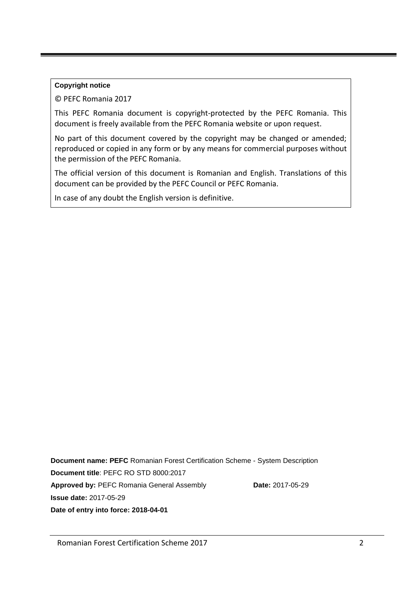#### **Copyright notice**

© PEFC Romania 2017

This PEFC Romania document is copyright-protected by the PEFC Romania. This document is freely available from the PEFC Romania website or upon request.

No part of this document covered by the copyright may be changed or amended; reproduced or copied in any form or by any means for commercial purposes without the permission of the PEFC Romania.

The official version of this document is Romanian and English. Translations of this document can be provided by the PEFC Council or PEFC Romania.

In case of any doubt the English version is definitive.

**Document name: PEFC** Romanian Forest Certification Scheme - System Description **Document title**: PEFC RO STD 8000:2017 Approved by: PEFC Romania General Assembly **Date:** 2017-05-29 **Issue date:** 2017-05-29 **Date of entry into force: 2018-04-01**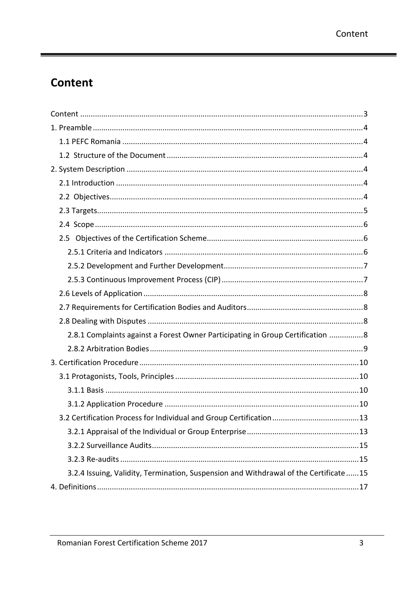۰

# <span id="page-2-0"></span>**Content**

| 2.8.1 Complaints against a Forest Owner Participating in Group Certification 8       |
|--------------------------------------------------------------------------------------|
|                                                                                      |
|                                                                                      |
|                                                                                      |
|                                                                                      |
|                                                                                      |
|                                                                                      |
|                                                                                      |
|                                                                                      |
|                                                                                      |
| 3.2.4 Issuing, Validity, Termination, Suspension and Withdrawal of the Certificate15 |
|                                                                                      |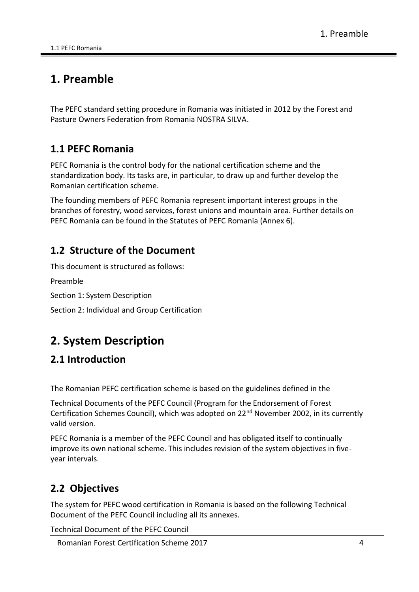# <span id="page-3-0"></span>**1. Preamble**

The PEFC standard setting procedure in Romania was initiated in 2012 by the Forest and Pasture Owners Federation from Romania NOSTRA SILVA.

# <span id="page-3-1"></span>**1.1 PEFC Romania**

PEFC Romania is the control body for the national certification scheme and the standardization body. Its tasks are, in particular, to draw up and further develop the Romanian certification scheme.

The founding members of PEFC Romania represent important interest groups in the branches of forestry, wood services, forest unions and mountain area. Further details on PEFC Romania can be found in the Statutes of PEFC Romania (Annex 6).

# <span id="page-3-2"></span>**1.2 Structure of the Document**

This document is structured as follows:

Preamble

Section 1: System Description

Section 2: Individual and Group Certification

# <span id="page-3-3"></span>**2. System Description**

# <span id="page-3-4"></span>**2.1 Introduction**

The Romanian PEFC certification scheme is based on the guidelines defined in the

Technical Documents of the PEFC Council (Program for the Endorsement of Forest Certification Schemes Council), which was adopted on 22nd November 2002, in its currently valid version.

PEFC Romania is a member of the PEFC Council and has obligated itself to continually improve its own national scheme. This includes revision of the system objectives in fiveyear intervals.

# <span id="page-3-5"></span>**2.2 Objectives**

The system for PEFC wood certification in Romania is based on the following Technical Document of the PEFC Council including all its annexes.

Technical Document of the PEFC Council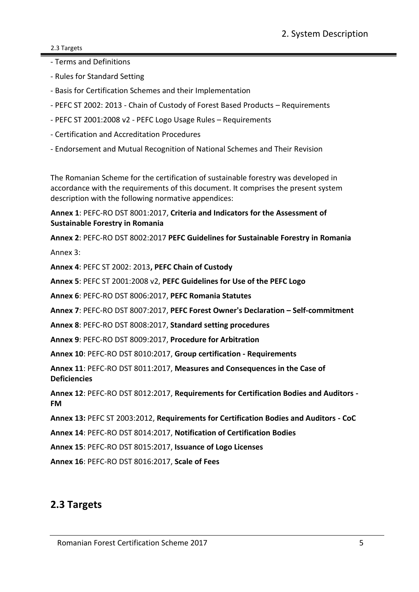#### 2.3 Targets

- Terms and Definitions
- Rules for Standard Setting
- Basis for Certification Schemes and their Implementation
- PEFC ST 2002: 2013 Chain of Custody of Forest Based Products Requirements
- PEFC ST 2001:2008 v2 PEFC Logo Usage Rules Requirements
- Certification and Accreditation Procedures
- Endorsement and Mutual Recognition of National Schemes and Their Revision

The Romanian Scheme for the certification of sustainable forestry was developed in accordance with the requirements of this document. It comprises the present system description with the following normative appendices:

**Annex 1**: PEFC-RO DST 8001:2017, **Criteria and Indicators for the Assessment of Sustainable Forestry in Romania**

**Annex 2**: PEFC-RO DST 8002:2017 **PEFC Guidelines for Sustainable Forestry in Romania** Annex 3:

**Annex 4**: PEFC ST 2002: 2013**, PEFC Chain of Custody**

**Annex 5**: PEFC ST 2001:2008 v2, **PEFC Guidelines for Use of the PEFC Logo**

**Annex 6**: PEFC-RO DST 8006:2017, **PEFC Romania Statutes**

**Annex 7**: PEFC-RO DST 8007:2017, **PEFC Forest Owner's Declaration – Self-commitment**

**Annex 8**: PEFC-RO DST 8008:2017, **Standard setting procedures**

**Annex 9**: PEFC-RO DST 8009:2017, **Procedure for Arbitration**

**Annex 10**: PEFC-RO DST 8010:2017, **Group certification - Requirements**

**Annex 11**: PEFC-RO DST 8011:2017, **Measures and Consequences in the Case of Deficiencies**

**Annex 12**: PEFC-RO DST 8012:2017, **Requirements for Certification Bodies and Auditors - FM**

**Annex 13:** PEFC ST 2003:2012, **Requirements for Certification Bodies and Auditors - CoC**

**Annex 14**: PEFC-RO DST 8014:2017, **Notification of Certification Bodies**

**Annex 15**: PEFC-RO DST 8015:2017, **Issuance of Logo Licenses** 

**Annex 16**: PEFC-RO DST 8016:2017, **Scale of Fees**

# <span id="page-4-0"></span>**2.3 Targets**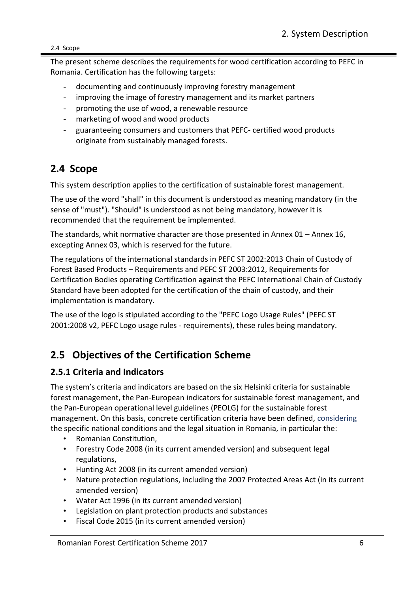2.4 Scope

The present scheme describes the requirements for wood certification according to PEFC in Romania. Certification has the following targets:

- documenting and continuously improving forestry management
- improving the image of forestry management and its market partners
- promoting the use of wood, a renewable resource
- marketing of wood and wood products
- guaranteeing consumers and customers that PEFC- certified wood products originate from sustainably managed forests.

# <span id="page-5-0"></span>**2.4 Scope**

This system description applies to the certification of sustainable forest management.

The use of the word "shall" in this document is understood as meaning mandatory (in the sense of "must"). "Should" is understood as not being mandatory, however it is recommended that the requirement be implemented.

The standards, whit normative character are those presented in Annex 01 – Annex 16, excepting Annex 03, which is reserved for the future.

The regulations of the international standards in PEFC ST 2002:2013 Chain of Custody of Forest Based Products – Requirements and PEFC ST 2003:2012, Requirements for Certification Bodies operating Certification against the PEFC International Chain of Custody Standard have been adopted for the certification of the chain of custody, and their implementation is mandatory.

The use of the logo is stipulated according to the "PEFC Logo Usage Rules" (PEFC ST 2001:2008 v2, PEFC Logo usage rules - requirements), these rules being mandatory.

# <span id="page-5-1"></span>**2.5 Objectives of the Certification Scheme**

### <span id="page-5-2"></span>**2.5.1 Criteria and Indicators**

The system's criteria and indicators are based on the six Helsinki criteria for sustainable forest management, the Pan-European indicators for sustainable forest management, and the Pan-European operational level guidelines (PEOLG) for the sustainable forest management. On this basis, concrete certification criteria have been defined, considering the specific national conditions and the legal situation in Romania, in particular the:

- Romanian Constitution,
- Forestry Code 2008 (in its current amended version) and subsequent legal regulations,
- Hunting Act 2008 (in its current amended version)
- Nature protection regulations, including the 2007 Protected Areas Act (in its current amended version)
- Water Act 1996 (in its current amended version)
- Legislation on plant protection products and substances
- Fiscal Code 2015 (in its current amended version)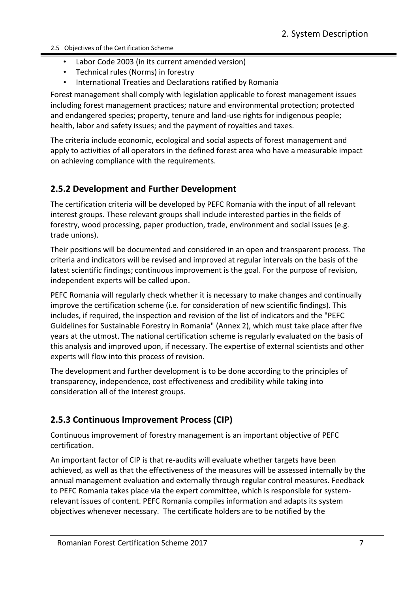- 2.5 Objectives of the Certification Scheme
	- Labor Code 2003 (in its current amended version)
	- Technical rules (Norms) in forestry
	- International Treaties and Declarations ratified by Romania

Forest management shall comply with legislation applicable to forest management issues including forest management practices; nature and environmental protection; protected and endangered species; property, tenure and land-use rights for indigenous people; health, labor and safety issues; and the payment of royalties and taxes.

The criteria include economic, ecological and social aspects of forest management and apply to activities of all operators in the defined forest area who have a measurable impact on achieving compliance with the requirements.

## <span id="page-6-0"></span>**2.5.2 Development and Further Development**

The certification criteria will be developed by PEFC Romania with the input of all relevant interest groups. These relevant groups shall include interested parties in the fields of forestry, wood processing, paper production, trade, environment and social issues (e.g. trade unions).

Their positions will be documented and considered in an open and transparent process. The criteria and indicators will be revised and improved at regular intervals on the basis of the latest scientific findings; continuous improvement is the goal. For the purpose of revision, independent experts will be called upon.

PEFC Romania will regularly check whether it is necessary to make changes and continually improve the certification scheme (i.e. for consideration of new scientific findings). This includes, if required, the inspection and revision of the list of indicators and the "PEFC Guidelines for Sustainable Forestry in Romania" (Annex 2), which must take place after five years at the utmost. The national certification scheme is regularly evaluated on the basis of this analysis and improved upon, if necessary. The expertise of external scientists and other experts will flow into this process of revision.

The development and further development is to be done according to the principles of transparency, independence, cost effectiveness and credibility while taking into consideration all of the interest groups.

# <span id="page-6-1"></span>**2.5.3 Continuous Improvement Process (CIP)**

Continuous improvement of forestry management is an important objective of PEFC certification.

An important factor of CIP is that re-audits will evaluate whether targets have been achieved, as well as that the effectiveness of the measures will be assessed internally by the annual management evaluation and externally through regular control measures. Feedback to PEFC Romania takes place via the expert committee, which is responsible for systemrelevant issues of content. PEFC Romania compiles information and adapts its system objectives whenever necessary. The certificate holders are to be notified by the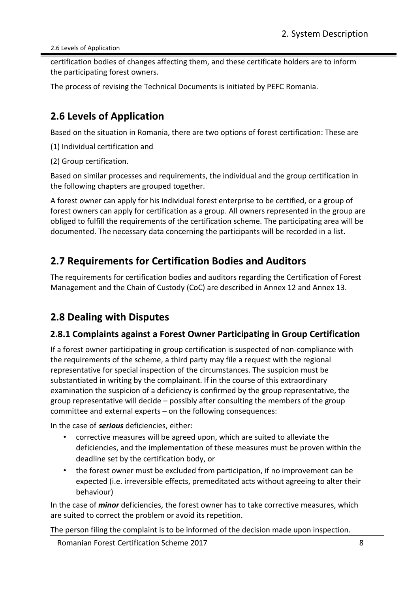2.6 Levels of Application

certification bodies of changes affecting them, and these certificate holders are to inform the participating forest owners.

The process of revising the Technical Documents is initiated by PEFC Romania.

# <span id="page-7-0"></span>**2.6 Levels of Application**

Based on the situation in Romania, there are two options of forest certification: These are

(1) Individual certification and

(2) Group certification.

Based on similar processes and requirements, the individual and the group certification in the following chapters are grouped together.

A forest owner can apply for his individual forest enterprise to be certified, or a group of forest owners can apply for certification as a group. All owners represented in the group are obliged to fulfill the requirements of the certification scheme. The participating area will be documented. The necessary data concerning the participants will be recorded in a list.

# <span id="page-7-1"></span>**2.7 Requirements for Certification Bodies and Auditors**

The requirements for certification bodies and auditors regarding the Certification of Forest Management and the Chain of Custody (CoC) are described in Annex 12 and Annex 13.

# <span id="page-7-2"></span>**2.8 Dealing with Disputes**

### <span id="page-7-3"></span>**2.8.1 Complaints against a Forest Owner Participating in Group Certification**

If a forest owner participating in group certification is suspected of non-compliance with the requirements of the scheme, a third party may file a request with the regional representative for special inspection of the circumstances. The suspicion must be substantiated in writing by the complainant. If in the course of this extraordinary examination the suspicion of a deficiency is confirmed by the group representative, the group representative will decide – possibly after consulting the members of the group committee and external experts – on the following consequences:

In the case of *serious* deficiencies, either:

- corrective measures will be agreed upon, which are suited to alleviate the deficiencies, and the implementation of these measures must be proven within the deadline set by the certification body, or
- the forest owner must be excluded from participation, if no improvement can be expected (i.e. irreversible effects, premeditated acts without agreeing to alter their behaviour)

In the case of *minor* deficiencies, the forest owner has to take corrective measures, which are suited to correct the problem or avoid its repetition.

The person filing the complaint is to be informed of the decision made upon inspection.

Romanian Forest Certification Scheme 2017 **8** 8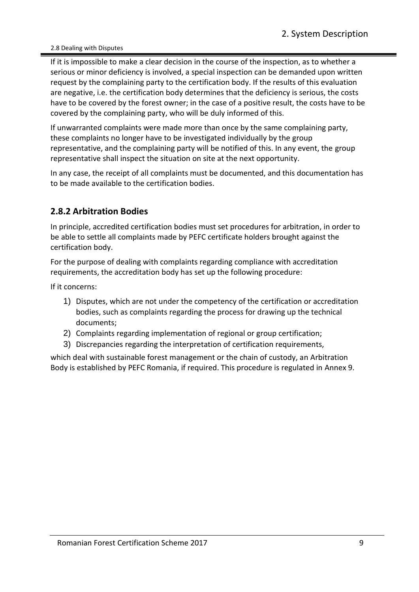2.8 Dealing with Disputes

If it is impossible to make a clear decision in the course of the inspection, as to whether a serious or minor deficiency is involved, a special inspection can be demanded upon written request by the complaining party to the certification body. If the results of this evaluation are negative, i.e. the certification body determines that the deficiency is serious, the costs have to be covered by the forest owner; in the case of a positive result, the costs have to be covered by the complaining party, who will be duly informed of this.

If unwarranted complaints were made more than once by the same complaining party, these complaints no longer have to be investigated individually by the group representative, and the complaining party will be notified of this. In any event, the group representative shall inspect the situation on site at the next opportunity.

In any case, the receipt of all complaints must be documented, and this documentation has to be made available to the certification bodies.

## <span id="page-8-0"></span>**2.8.2 Arbitration Bodies**

In principle, accredited certification bodies must set procedures for arbitration, in order to be able to settle all complaints made by PEFC certificate holders brought against the certification body.

For the purpose of dealing with complaints regarding compliance with accreditation requirements, the accreditation body has set up the following procedure:

If it concerns:

- 1) Disputes, which are not under the competency of the certification or accreditation bodies, such as complaints regarding the process for drawing up the technical documents;
- 2) Complaints regarding implementation of regional or group certification;
- 3) Discrepancies regarding the interpretation of certification requirements,

which deal with sustainable forest management or the chain of custody, an Arbitration Body is established by PEFC Romania, if required. This procedure is regulated in Annex 9.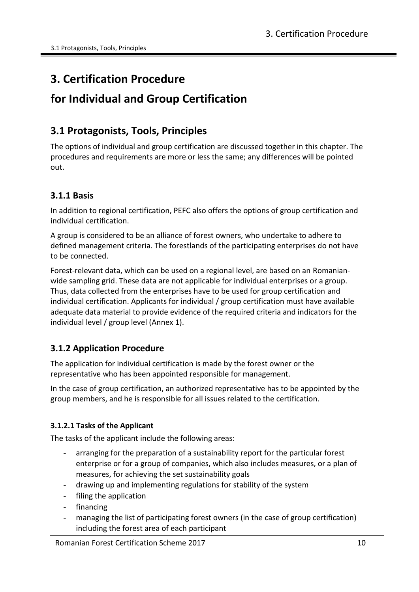# <span id="page-9-0"></span>**3. Certification Procedure**

# **for Individual and Group Certification**

# <span id="page-9-1"></span>**3.1 Protagonists, Tools, Principles**

The options of individual and group certification are discussed together in this chapter. The procedures and requirements are more or less the same; any differences will be pointed out.

### <span id="page-9-2"></span>**3.1.1 Basis**

In addition to regional certification, PEFC also offers the options of group certification and individual certification.

A group is considered to be an alliance of forest owners, who undertake to adhere to defined management criteria. The forestlands of the participating enterprises do not have to be connected.

Forest-relevant data, which can be used on a regional level, are based on an Romanianwide sampling grid. These data are not applicable for individual enterprises or a group. Thus, data collected from the enterprises have to be used for group certification and individual certification. Applicants for individual / group certification must have available adequate data material to provide evidence of the required criteria and indicators for the individual level / group level (Annex 1).

### <span id="page-9-3"></span>**3.1.2 Application Procedure**

The application for individual certification is made by the forest owner or the representative who has been appointed responsible for management.

In the case of group certification, an authorized representative has to be appointed by the group members, and he is responsible for all issues related to the certification.

#### **3.1.2.1 Tasks of the Applicant**

The tasks of the applicant include the following areas:

- arranging for the preparation of a sustainability report for the particular forest enterprise or for a group of companies, which also includes measures, or a plan of measures, for achieving the set sustainability goals
- drawing up and implementing regulations for stability of the system
- filing the application
- financing
- managing the list of participating forest owners (in the case of group certification) including the forest area of each participant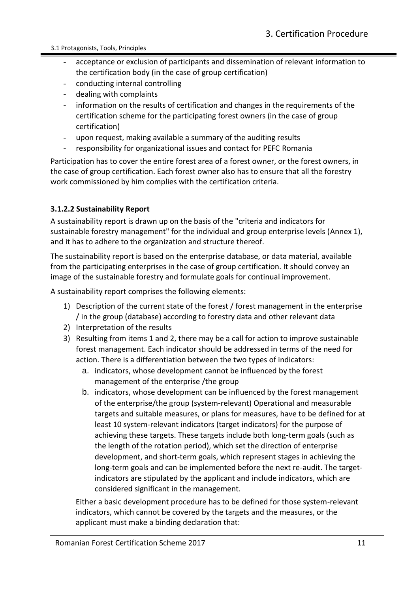- acceptance or exclusion of participants and dissemination of relevant information to the certification body (in the case of group certification)
- conducting internal controlling
- dealing with complaints
- information on the results of certification and changes in the requirements of the certification scheme for the participating forest owners (in the case of group certification)
- upon request, making available a summary of the auditing results
- responsibility for organizational issues and contact for PEFC Romania

Participation has to cover the entire forest area of a forest owner, or the forest owners, in the case of group certification. Each forest owner also has to ensure that all the forestry work commissioned by him complies with the certification criteria.

#### **3.1.2.2 Sustainability Report**

A sustainability report is drawn up on the basis of the "criteria and indicators for sustainable forestry management" for the individual and group enterprise levels (Annex 1), and it has to adhere to the organization and structure thereof.

The sustainability report is based on the enterprise database, or data material, available from the participating enterprises in the case of group certification. It should convey an image of the sustainable forestry and formulate goals for continual improvement.

A sustainability report comprises the following elements:

- 1) Description of the current state of the forest / forest management in the enterprise / in the group (database) according to forestry data and other relevant data
- 2) Interpretation of the results
- 3) Resulting from items 1 and 2, there may be a call for action to improve sustainable forest management. Each indicator should be addressed in terms of the need for action. There is a differentiation between the two types of indicators:
	- a. indicators, whose development cannot be influenced by the forest management of the enterprise /the group
	- b. indicators, whose development can be influenced by the forest management of the enterprise/the group (system-relevant) Operational and measurable targets and suitable measures, or plans for measures, have to be defined for at least 10 system-relevant indicators (target indicators) for the purpose of achieving these targets. These targets include both long-term goals (such as the length of the rotation period), which set the direction of enterprise development, and short-term goals, which represent stages in achieving the long-term goals and can be implemented before the next re-audit. The targetindicators are stipulated by the applicant and include indicators, which are considered significant in the management.

Either a basic development procedure has to be defined for those system-relevant indicators, which cannot be covered by the targets and the measures, or the applicant must make a binding declaration that: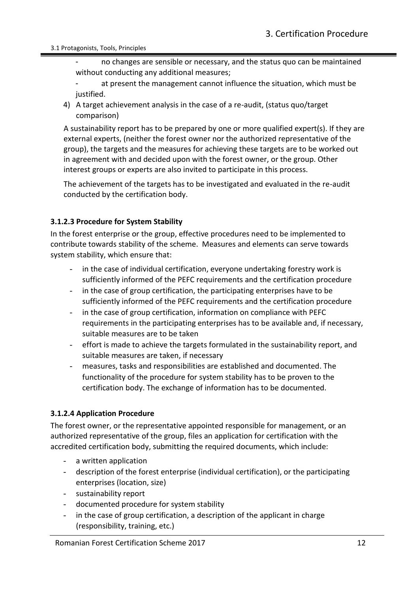no changes are sensible or necessary, and the status quo can be maintained without conducting any additional measures;

at present the management cannot influence the situation, which must be justified.

4) A target achievement analysis in the case of a re-audit, (status quo/target comparison)

A sustainability report has to be prepared by one or more qualified expert(s). If they are external experts, (neither the forest owner nor the authorized representative of the group), the targets and the measures for achieving these targets are to be worked out in agreement with and decided upon with the forest owner, or the group. Other interest groups or experts are also invited to participate in this process.

The achievement of the targets has to be investigated and evaluated in the re-audit conducted by the certification body.

#### **3.1.2.3 Procedure for System Stability**

In the forest enterprise or the group, effective procedures need to be implemented to contribute towards stability of the scheme. Measures and elements can serve towards system stability, which ensure that:

- in the case of individual certification, everyone undertaking forestry work is sufficiently informed of the PEFC requirements and the certification procedure
- in the case of group certification, the participating enterprises have to be sufficiently informed of the PEFC requirements and the certification procedure
- in the case of group certification, information on compliance with PEFC requirements in the participating enterprises has to be available and, if necessary, suitable measures are to be taken
- effort is made to achieve the targets formulated in the sustainability report, and suitable measures are taken, if necessary
- measures, tasks and responsibilities are established and documented. The functionality of the procedure for system stability has to be proven to the certification body. The exchange of information has to be documented.

#### **3.1.2.4 Application Procedure**

The forest owner, or the representative appointed responsible for management, or an authorized representative of the group, files an application for certification with the accredited certification body, submitting the required documents, which include:

- a written application
- description of the forest enterprise (individual certification), or the participating enterprises (location, size)
- sustainability report
- documented procedure for system stability
- in the case of group certification, a description of the applicant in charge (responsibility, training, etc.)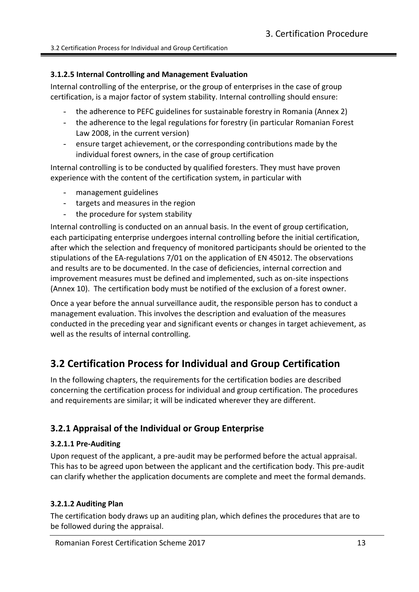#### **3.1.2.5 Internal Controlling and Management Evaluation**

Internal controlling of the enterprise, or the group of enterprises in the case of group certification, is a major factor of system stability. Internal controlling should ensure:

- the adherence to PEFC guidelines for sustainable forestry in Romania (Annex 2)
- the adherence to the legal regulations for forestry (in particular Romanian Forest Law 2008, in the current version)
- ensure target achievement, or the corresponding contributions made by the individual forest owners, in the case of group certification

Internal controlling is to be conducted by qualified foresters. They must have proven experience with the content of the certification system, in particular with

- management guidelines
- targets and measures in the region
- the procedure for system stability

Internal controlling is conducted on an annual basis. In the event of group certification, each participating enterprise undergoes internal controlling before the initial certification, after which the selection and frequency of monitored participants should be oriented to the stipulations of the EA-regulations 7/01 on the application of EN 45012. The observations and results are to be documented. In the case of deficiencies, internal correction and improvement measures must be defined and implemented, such as on-site inspections (Annex 10). The certification body must be notified of the exclusion of a forest owner.

Once a year before the annual surveillance audit, the responsible person has to conduct a management evaluation. This involves the description and evaluation of the measures conducted in the preceding year and significant events or changes in target achievement, as well as the results of internal controlling.

# <span id="page-12-0"></span>**3.2 Certification Process for Individual and Group Certification**

In the following chapters, the requirements for the certification bodies are described concerning the certification process for individual and group certification. The procedures and requirements are similar; it will be indicated wherever they are different.

### <span id="page-12-1"></span>**3.2.1 Appraisal of the Individual or Group Enterprise**

#### **3.2.1.1 Pre-Auditing**

Upon request of the applicant, a pre-audit may be performed before the actual appraisal. This has to be agreed upon between the applicant and the certification body. This pre-audit can clarify whether the application documents are complete and meet the formal demands.

#### **3.2.1.2 Auditing Plan**

The certification body draws up an auditing plan, which defines the procedures that are to be followed during the appraisal.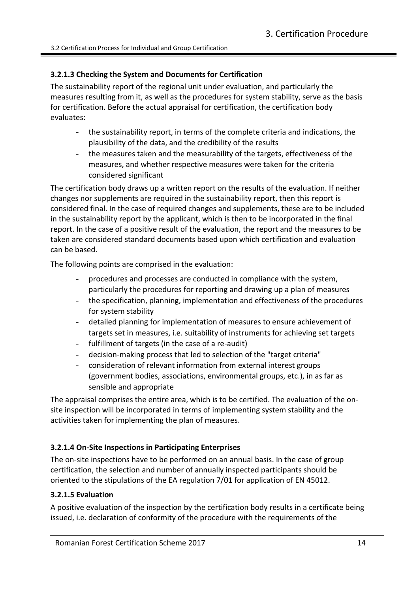#### **3.2.1.3 Checking the System and Documents for Certification**

The sustainability report of the regional unit under evaluation, and particularly the measures resulting from it, as well as the procedures for system stability, serve as the basis for certification. Before the actual appraisal for certification, the certification body evaluates:

- the sustainability report, in terms of the complete criteria and indications, the plausibility of the data, and the credibility of the results
- the measures taken and the measurability of the targets, effectiveness of the measures, and whether respective measures were taken for the criteria considered significant

The certification body draws up a written report on the results of the evaluation. If neither changes nor supplements are required in the sustainability report, then this report is considered final. In the case of required changes and supplements, these are to be included in the sustainability report by the applicant, which is then to be incorporated in the final report. In the case of a positive result of the evaluation, the report and the measures to be taken are considered standard documents based upon which certification and evaluation can be based.

The following points are comprised in the evaluation:

- procedures and processes are conducted in compliance with the system, particularly the procedures for reporting and drawing up a plan of measures
- the specification, planning, implementation and effectiveness of the procedures for system stability
- detailed planning for implementation of measures to ensure achievement of targets set in measures, i.e. suitability of instruments for achieving set targets
- fulfillment of targets (in the case of a re-audit)
- decision-making process that led to selection of the "target criteria"
- consideration of relevant information from external interest groups (government bodies, associations, environmental groups, etc.), in as far as sensible and appropriate

The appraisal comprises the entire area, which is to be certified. The evaluation of the onsite inspection will be incorporated in terms of implementing system stability and the activities taken for implementing the plan of measures.

#### **3.2.1.4 On-Site Inspections in Participating Enterprises**

The on-site inspections have to be performed on an annual basis. In the case of group certification, the selection and number of annually inspected participants should be oriented to the stipulations of the EA regulation 7/01 for application of EN 45012.

#### **3.2.1.5 Evaluation**

A positive evaluation of the inspection by the certification body results in a certificate being issued, i.e. declaration of conformity of the procedure with the requirements of the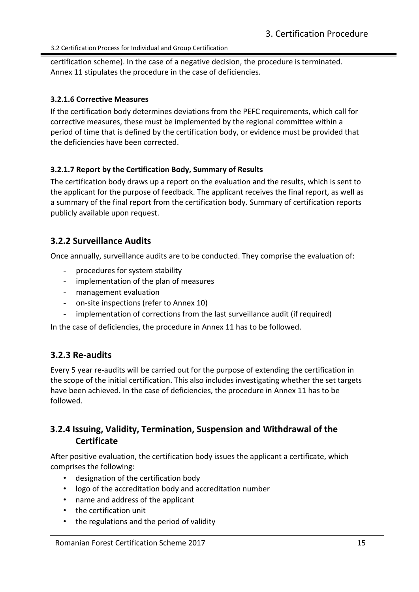3.2 Certification Process for Individual and Group Certification

certification scheme). In the case of a negative decision, the procedure is terminated. Annex 11 stipulates the procedure in the case of deficiencies.

#### **3.2.1.6 Corrective Measures**

If the certification body determines deviations from the PEFC requirements, which call for corrective measures, these must be implemented by the regional committee within a period of time that is defined by the certification body, or evidence must be provided that the deficiencies have been corrected.

#### **3.2.1.7 Report by the Certification Body, Summary of Results**

The certification body draws up a report on the evaluation and the results, which is sent to the applicant for the purpose of feedback. The applicant receives the final report, as well as a summary of the final report from the certification body. Summary of certification reports publicly available upon request.

### <span id="page-14-0"></span>**3.2.2 Surveillance Audits**

Once annually, surveillance audits are to be conducted. They comprise the evaluation of:

- procedures for system stability
- implementation of the plan of measures
- management evaluation
- on-site inspections (refer to Annex 10)
- implementation of corrections from the last surveillance audit (if required)

In the case of deficiencies, the procedure in Annex 11 has to be followed.

### <span id="page-14-1"></span>**3.2.3 Re-audits**

Every 5 year re-audits will be carried out for the purpose of extending the certification in the scope of the initial certification. This also includes investigating whether the set targets have been achieved. In the case of deficiencies, the procedure in Annex 11 has to be followed.

### <span id="page-14-2"></span>**3.2.4 Issuing, Validity, Termination, Suspension and Withdrawal of the Certificate**

After positive evaluation, the certification body issues the applicant a certificate, which comprises the following:

- designation of the certification body
- logo of the accreditation body and accreditation number
- name and address of the applicant
- the certification unit
- the regulations and the period of validity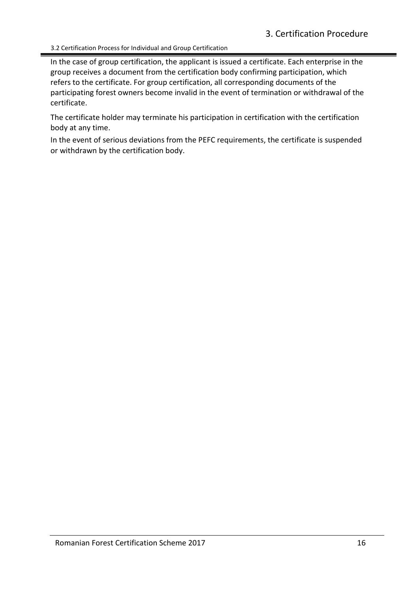3.2 Certification Process for Individual and Group Certification

In the case of group certification, the applicant is issued a certificate. Each enterprise in the group receives a document from the certification body confirming participation, which refers to the certificate. For group certification, all corresponding documents of the participating forest owners become invalid in the event of termination or withdrawal of the certificate.

The certificate holder may terminate his participation in certification with the certification body at any time.

In the event of serious deviations from the PEFC requirements, the certificate is suspended or withdrawn by the certification body.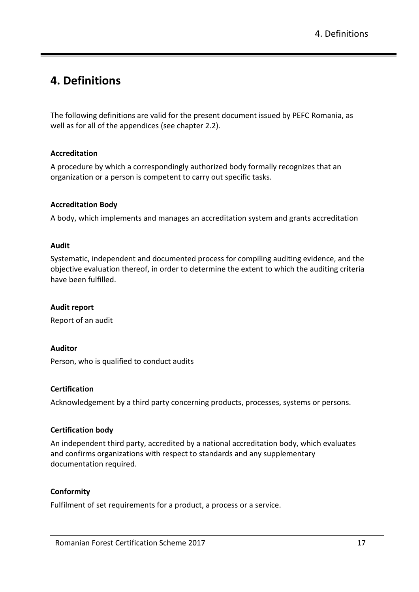# <span id="page-16-0"></span>**4. Definitions**

The following definitions are valid for the present document issued by PEFC Romania, as well as for all of the appendices (see chapter 2.2).

#### **Accreditation**

A procedure by which a correspondingly authorized body formally recognizes that an organization or a person is competent to carry out specific tasks.

#### **Accreditation Body**

A body, which implements and manages an accreditation system and grants accreditation

#### **Audit**

Systematic, independent and documented process for compiling auditing evidence, and the objective evaluation thereof, in order to determine the extent to which the auditing criteria have been fulfilled.

#### **Audit report**

Report of an audit

#### **Auditor**

Person, who is qualified to conduct audits

#### **Certification**

Acknowledgement by a third party concerning products, processes, systems or persons.

#### **Certification body**

An independent third party, accredited by a national accreditation body, which evaluates and confirms organizations with respect to standards and any supplementary documentation required.

#### **Conformity**

Fulfilment of set requirements for a product, a process or a service.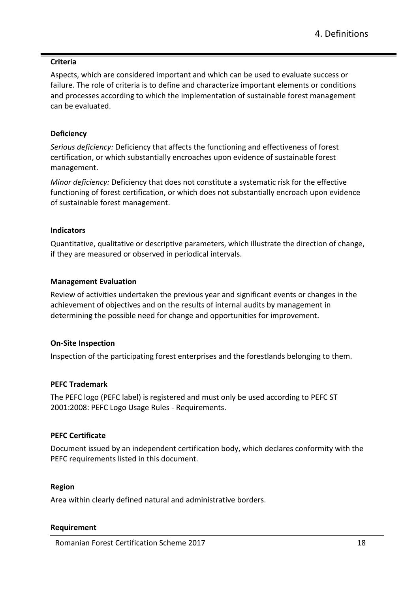#### **Criteria**

Aspects, which are considered important and which can be used to evaluate success or failure. The role of criteria is to define and characterize important elements or conditions and processes according to which the implementation of sustainable forest management can be evaluated.

#### **Deficiency**

*Serious deficiency:* Deficiency that affects the functioning and effectiveness of forest certification, or which substantially encroaches upon evidence of sustainable forest management.

*Minor deficiency:* Deficiency that does not constitute a systematic risk for the effective functioning of forest certification, or which does not substantially encroach upon evidence of sustainable forest management.

#### **Indicators**

Quantitative, qualitative or descriptive parameters, which illustrate the direction of change, if they are measured or observed in periodical intervals.

#### **Management Evaluation**

Review of activities undertaken the previous year and significant events or changes in the achievement of objectives and on the results of internal audits by management in determining the possible need for change and opportunities for improvement.

#### **On-Site Inspection**

Inspection of the participating forest enterprises and the forestlands belonging to them.

#### **PEFC Trademark**

The PEFC logo (PEFC label) is registered and must only be used according to PEFC ST 2001:2008: PEFC Logo Usage Rules - Requirements.

#### **PEFC Certificate**

Document issued by an independent certification body, which declares conformity with the PEFC requirements listed in this document.

#### **Region**

Area within clearly defined natural and administrative borders.

#### **Requirement**